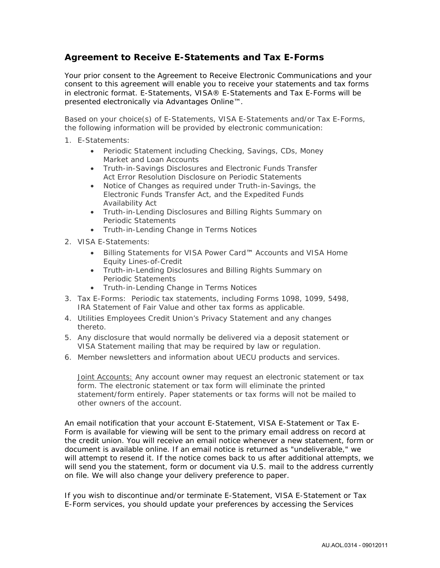## **Agreement to Receive** *E-Statements* **and Tax** *E-Forms*

Your prior consent to the Agreement to Receive Electronic Communications and your consent to this agreement will enable you to receive your statements and tax forms in electronic format. *E-Statements,* VISA*® E-Statements* and Tax *E-Forms* will be presented electronically via *Advantages Online™*.

Based on your choice(s) of *E-Statements*, VISA *E-Statements* and/or Tax *E-Forms*, the following information will be provided by electronic communication:

- 1. *E-Statements*:
	- • Periodic Statement including Checking, Savings, CDs, Money Market and Loan Accounts
	- Truth-in-Savings Disclosures and Electronic Funds Transfer Act Error Resolution Disclosure on Periodic Statements
	- Availability Act • Notice of Changes as required under Truth-in-Savings, the Electronic Funds Transfer Act, and the Expedited Funds
	- Truth-in-Lending Disclosures and Billing Rights Summary on Periodic Statements
	- Truth-in-Lending Change in Terms Notices
- 2. VISA *E-Statements*:
	- Billing Statements for VISA *Power Card™* Accounts and VISA Home Equity Lines-of-Credit
	- Truth-in-Lending Disclosures and Billing Rights Summary on Periodic Statements
	- Truth-in-Lending Change in Terms Notices
- 3. Tax *E-Forms*: Periodic tax statements, including Forms 1098, 1099, 5498, IRA Statement of Fair Value and other tax forms as applicable.
- 4. Utilities Employees Credit Union's Privacy Statement and any changes thereto.
- VISA Statement mailing that may be required by law or regulation. 5. Any disclosure that would normally be delivered via a deposit statement or
- 6. Member newsletters and information about UECU products and services.

Joint Accounts: Any account owner may request an electronic statement or tax form. The electronic statement or tax form will eliminate the printed statement/form entirely. Paper statements or tax forms will not be mailed to other owners of the account.

An email notification that your account *E-Statement*, VISA *E-Statement* or Tax *E-Form* is available for viewing will be sent to the primary email address on record at the credit union. You will receive an email notice whenever a new statement, form or document is available online. If an email notice is returned as "undeliverable," we will attempt to resend it. If the notice comes back to us after additional attempts, we will send you the statement, form or document via U.S. mail to the address currently on file. We will also change your delivery preference to paper.

 If you wish to discontinue and/or terminate *E-Statement,* VISA *E-Statement* or Tax *E-Form* services, you should update your preferences by accessing the Services